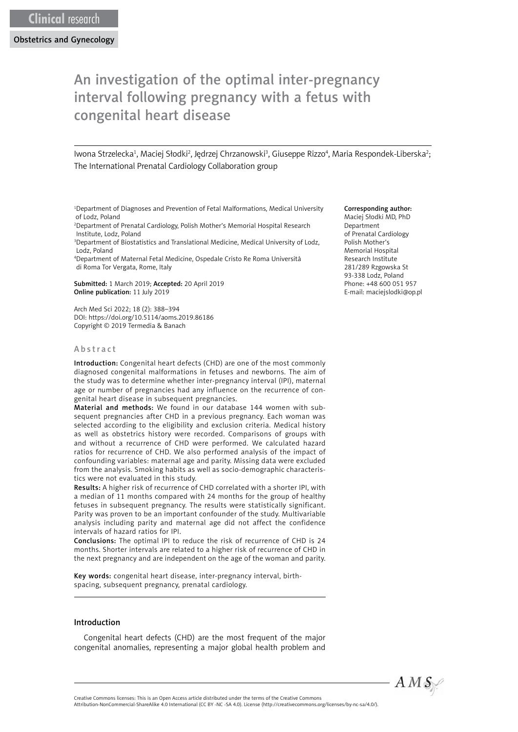Obstetrics and Gynecology

# An investigation of the optimal inter-pregnancy interval following pregnancy with a fetus with congenital heart disease

Iwona Strzelecka<sup>1</sup>, Maciej Słodki<sup>2</sup>, Jędrzej Chrzanowski<sup>3</sup>, Giuseppe Rizzo<sup>4</sup>, Maria Respondek-Liberska<sup>2</sup>; The International Prenatal Cardiology Collaboration group

1 Department of Diagnoses and Prevention of Fetal Malformations, Medical University of Lodz, Poland

2 Department of Prenatal Cardiology, Polish Mother's Memorial Hospital Research Institute, Lodz, Poland

<sup>3</sup>Department of Biostatistics and Translational Medicine, Medical University of Lodz, Lodz, Poland

4 Department of Maternal Fetal Medicine, Ospedale Cristo Re Roma Università di Roma Tor Vergata, Rome, Italy

Submitted: 1 March 2019; Accepted: 20 April 2019 Online publication: 11 July 2019

Arch Med Sci 2022; 18 (2): 388–394 DOI: https://doi.org/10.5114/aoms.2019.86186 Copyright © 2019 Termedia & Banach

#### Abstract

Introduction: Congenital heart defects (CHD) are one of the most commonly diagnosed congenital malformations in fetuses and newborns. The aim of the study was to determine whether inter-pregnancy interval (IPI), maternal age or number of pregnancies had any influence on the recurrence of congenital heart disease in subsequent pregnancies.

Material and methods: We found in our database 144 women with subsequent pregnancies after CHD in a previous pregnancy. Each woman was selected according to the eligibility and exclusion criteria. Medical history as well as obstetrics history were recorded. Comparisons of groups with and without a recurrence of CHD were performed. We calculated hazard ratios for recurrence of CHD. We also performed analysis of the impact of confounding variables: maternal age and parity. Missing data were excluded from the analysis. Smoking habits as well as socio-demographic characteristics were not evaluated in this study.

Results: A higher risk of recurrence of CHD correlated with a shorter IPI, with a median of 11 months compared with 24 months for the group of healthy fetuses in subsequent pregnancy. The results were statistically significant. Parity was proven to be an important confounder of the study. Multivariable analysis including parity and maternal age did not affect the confidence intervals of hazard ratios for IPI.

Conclusions: The optimal IPI to reduce the risk of recurrence of CHD is 24 months. Shorter intervals are related to a higher risk of recurrence of CHD in the next pregnancy and are independent on the age of the woman and parity.

Key words: congenital heart disease, inter-pregnancy interval, birthspacing, subsequent pregnancy, prenatal cardiology.

#### Introduction

Congenital heart defects (CHD) are the most frequent of the major congenital anomalies, representing a major global health problem and

#### Corresponding author:

Maciej Słodki MD, PhD Department of Prenatal Cardiology Polish Mother's Memorial Hospital Research Institute 281/289 Rzgowska St 93-338 Lodz, Poland Phone: +48 600 051 957 E-mail: [maciejslodki@op.pl](mailto:maciejslodki@op.pl)

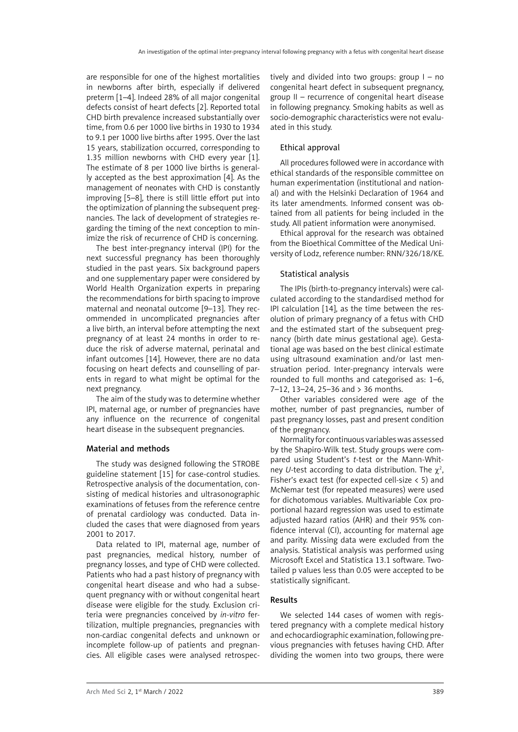are responsible for one of the highest mortalities in newborns after birth, especially if delivered preterm [1–4]. Indeed 28% of all major congenital defects consist of heart defects [2]. Reported total CHD birth prevalence increased substantially over time, from 0.6 per 1000 live births in 1930 to 1934 to 9.1 per 1000 live births after 1995. Over the last 15 years, stabilization occurred, corresponding to 1.35 million newborns with CHD every year [1]. The estimate of 8 per 1000 live births is generally accepted as the best approximation [4]. As the management of neonates with CHD is constantly improving [5–8], there is still little effort put into the optimization of planning the subsequent pregnancies. The lack of development of strategies regarding the timing of the next conception to minimize the risk of recurrence of CHD is concerning.

The best inter-pregnancy interval (IPI) for the next successful pregnancy has been thoroughly studied in the past years. Six background papers and one supplementary paper were considered by World Health Organization experts in preparing the recommendations for birth spacing to improve maternal and neonatal outcome [9–13]. They recommended in uncomplicated pregnancies after a live birth, an interval before attempting the next pregnancy of at least 24 months in order to reduce the risk of adverse maternal, perinatal and infant outcomes [14]. However, there are no data focusing on heart defects and counselling of parents in regard to what might be optimal for the next pregnancy.

The aim of the study was to determine whether IPI, maternal age, or number of pregnancies have any influence on the recurrence of congenital heart disease in the subsequent pregnancies.

# Material and methods

The study was designed following the STROBE guideline statement [15] for case-control studies. Retrospective analysis of the documentation, consisting of medical histories and ultrasonographic examinations of fetuses from the reference centre of prenatal cardiology was conducted. Data included the cases that were diagnosed from years 2001 to 2017.

Data related to IPI, maternal age, number of past pregnancies, medical history, number of pregnancy losses, and type of CHD were collected. Patients who had a past history of pregnancy with congenital heart disease and who had a subsequent pregnancy with or without congenital heart disease were eligible for the study. Exclusion criteria were pregnancies conceived by *in-vitro* fertilization, multiple pregnancies, pregnancies with non-cardiac congenital defects and unknown or incomplete follow-up of patients and pregnancies. All eligible cases were analysed retrospectively and divided into two groups: group I – no congenital heart defect in subsequent pregnancy, group II – recurrence of congenital heart disease in following pregnancy. Smoking habits as well as socio-demographic characteristics were not evaluated in this study.

# Ethical approval

All procedures followed were in accordance with ethical standards of the responsible committee on human experimentation (institutional and national) and with the Helsinki Declaration of 1964 and its later amendments. Informed consent was obtained from all patients for being included in the study. All patient information were anonymised.

Ethical approval for the research was obtained from the Bioethical Committee of the Medical University of Lodz, reference number: RNN/326/18/KE.

# Statistical analysis

The IPIs (birth-to-pregnancy intervals) were calculated according to the standardised method for IPI calculation [14], as the time between the resolution of primary pregnancy of a fetus with CHD and the estimated start of the subsequent pregnancy (birth date minus gestational age). Gestational age was based on the best clinical estimate using ultrasound examination and/or last menstruation period. Inter-pregnancy intervals were rounded to full months and categorised as: 1–6, 7–12, 13–24, 25–36 and > 36 months.

Other variables considered were age of the mother, number of past pregnancies, number of past pregnancy losses, past and present condition of the pregnancy.

Normality for continuous variables was assessed by the Shapiro-Wilk test. Study groups were compared using Student's *t*-test or the Mann-Whitney *U*-test according to data distribution. The  $\chi^2$ , Fisher's exact test (for expected cell-size < 5) and McNemar test (for repeated measures) were used for dichotomous variables. Multivariable Cox proportional hazard regression was used to estimate adjusted hazard ratios (AHR) and their 95% confidence interval (CI), accounting for maternal age and parity. Missing data were excluded from the analysis. Statistical analysis was performed using Microsoft Excel and Statistica 13.1 software. Twotailed p values less than 0.05 were accepted to be statistically significant.

# Results

We selected 144 cases of women with registered pregnancy with a complete medical history and echocardiographic examination, following previous pregnancies with fetuses having CHD. After dividing the women into two groups, there were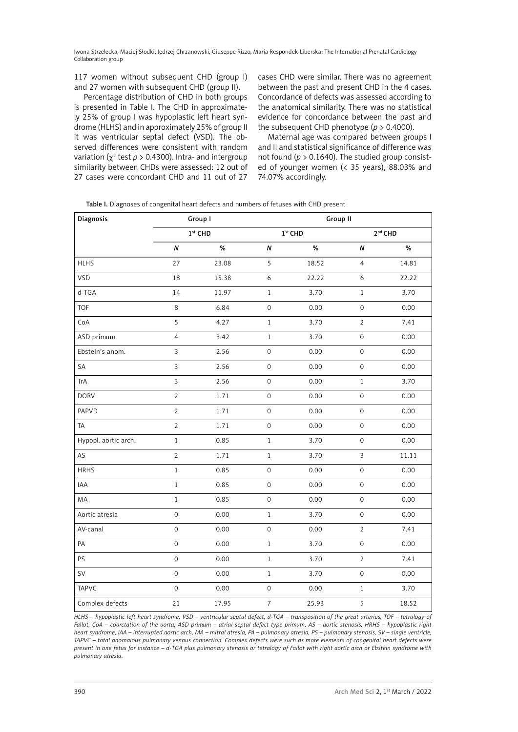Iwona Strzelecka, Maciej Słodki, Jędrzej Chrzanowski, Giuseppe Rizzo, Maria Respondek-Liberska; The International Prenatal Cardiology Collaboration group

117 women without subsequent CHD (group I) and 27 women with subsequent CHD (group II).

Percentage distribution of CHD in both groups is presented in Table I. The CHD in approximately 25% of group I was hypoplastic left heart syndrome (HLHS) and in approximately 25% of group II it was ventricular septal defect (VSD). The observed differences were consistent with random variation ( $\chi^2$  test  $p > 0.4300$ ). Intra- and intergroup similarity between CHDs were assessed: 12 out of 27 cases were concordant CHD and 11 out of 27

cases CHD were similar. There was no agreement between the past and present CHD in the 4 cases. Concordance of defects was assessed according to the anatomical similarity. There was no statistical evidence for concordance between the past and the subsequent CHD phenotype (*p* > 0.4000).

Maternal age was compared between groups I and II and statistical significance of difference was not found ( $p > 0.1640$ ). The studied group consisted of younger women (< 35 years), 88.03% and 74.07% accordingly.

|  | Table I. Diagnoses of congenital heart defects and numbers of fetuses with CHD present |  |  |  |  |  |  |
|--|----------------------------------------------------------------------------------------|--|--|--|--|--|--|
|  |                                                                                        |  |  |  |  |  |  |

| Diagnosis            |                     | Group I             |                     | Group II  |                     |       |  |  |  |
|----------------------|---------------------|---------------------|---------------------|-----------|---------------------|-------|--|--|--|
|                      |                     | 1 <sup>st</sup> CHD |                     | $1st$ CHD | 2 <sup>nd</sup> CHD |       |  |  |  |
|                      | $\pmb N$            | $\%$                | $\boldsymbol{N}$    | $\%$      | N                   | %     |  |  |  |
| <b>HLHS</b>          | 27                  | 23.08               | 5                   | 18.52     | $\overline{4}$      | 14.81 |  |  |  |
| VSD                  | 18                  | 15.38               | 6                   | 22.22     | $\boldsymbol{6}$    | 22.22 |  |  |  |
| d-TGA                | 14                  | 11.97               | $1\,$               | 3.70      | $\,1$               | 3.70  |  |  |  |
| <b>TOF</b>           | 8                   | 6.84                | $\mathsf{O}\xspace$ | 0.00      | $\mathsf{O}\xspace$ | 0.00  |  |  |  |
| CoA                  | 5                   | 4.27                | $\,1\,$             | 3.70      | $\overline{2}$      | 7.41  |  |  |  |
| ASD primum           | $\overline{4}$      | 3.42                | $1\,$               | 3.70      | $\mathsf{O}\xspace$ | 0.00  |  |  |  |
| Ebstein's anom.      | $\overline{3}$      | 2.56                | $\mathsf{O}\xspace$ | 0.00      | $\mathsf{O}\xspace$ | 0.00  |  |  |  |
| SA                   | $\overline{3}$      | 2.56                | $\mathsf{O}\xspace$ | 0.00      | $\mathsf{O}\xspace$ | 0.00  |  |  |  |
| TrA                  | $\overline{3}$      | 2.56                | $\mathsf{O}\xspace$ | 0.00      | $\mathbf{1}$        | 3.70  |  |  |  |
| <b>DORV</b>          | $\overline{2}$      | 1.71                | $\mathsf{O}\xspace$ | 0.00      | $\mathsf{O}\xspace$ | 0.00  |  |  |  |
| PAPVD                | $\overline{2}$      | 1.71                | $\mathsf{O}\xspace$ | 0.00      | $\mathsf{O}\xspace$ | 0.00  |  |  |  |
| <b>TA</b>            | $\overline{2}$      | 1.71                | $\mathsf{O}\xspace$ | 0.00      | $\mathsf{O}\xspace$ | 0.00  |  |  |  |
| Hypopl. aortic arch. | $\mathbf{1}$        | 0.85                | $1\,$               | 3.70      | $\mathsf{O}\xspace$ | 0.00  |  |  |  |
| AS                   | $\overline{2}$      | 1.71                | $\,1$               | 3.70      | $\overline{3}$      | 11.11 |  |  |  |
| <b>HRHS</b>          | $\mathbf 1$         | 0.85                | $\mathsf{O}\xspace$ | 0.00      | $\mathsf{O}\xspace$ | 0.00  |  |  |  |
| IAA                  | $\,1\,$             | 0.85                | $\mathsf{O}\xspace$ | 0.00      | $\mathsf{O}\xspace$ | 0.00  |  |  |  |
| MA                   | $\,1\,$             | 0.85                | $\mathsf{O}\xspace$ | 0.00      | $\mathsf{O}\xspace$ | 0.00  |  |  |  |
| Aortic atresia       | $\mathsf{O}\xspace$ | 0.00                | $1\,$               | 3.70      | $\mathsf{O}\xspace$ | 0.00  |  |  |  |
| AV-canal             | $\mathsf{O}\xspace$ | 0.00                | $\mathsf{O}\xspace$ | 0.00      | $\mathbf 2$         | 7.41  |  |  |  |
| PA                   | $\mathsf{O}\xspace$ | 0.00                | $1\,$               | 3.70      | $\mathsf{O}\xspace$ | 0.00  |  |  |  |
| PS                   | $\mathsf{O}\xspace$ | 0.00                | $1\,$               | 3.70      | $\overline{2}$      | 7.41  |  |  |  |
| SV                   | $\mathsf{O}\xspace$ | 0.00                | $\,1$               | 3.70      | $\mathsf{O}\xspace$ | 0.00  |  |  |  |
| <b>TAPVC</b>         | $\mathsf{O}\xspace$ | 0.00                | $\mathsf{O}\xspace$ | 0.00      | $\,1\,$             | 3.70  |  |  |  |
| Complex defects      | 21                  | 17.95               | $\overline{7}$      | 25.93     | 5                   | 18.52 |  |  |  |

*HLHS – hypoplastic left heart syndrome, VSD – ventricular septal defect, d-TGA – transposition of the great arteries, TOF – tetralogy of Fallot, CoA – coarctation of the aorta, ASD primum – atrial septal defect type primum, AS – aortic stenosis, HRHS – hypoplastic right heart syndrome, IAA – interrupted aortic arch, MA – mitral atresia, PA – pulmonary atresia, PS – pulmonary stenosis, SV – single ventricle, TAPVC – total anomalous pulmonary venous connection. Complex defects were such as more elements of congenital heart defects were present in one fetus for instance – d-TGA plus pulmonary stenosis or tetralogy of Fallot with right aortic arch or Ebstein syndrome with pulmonary atresia.*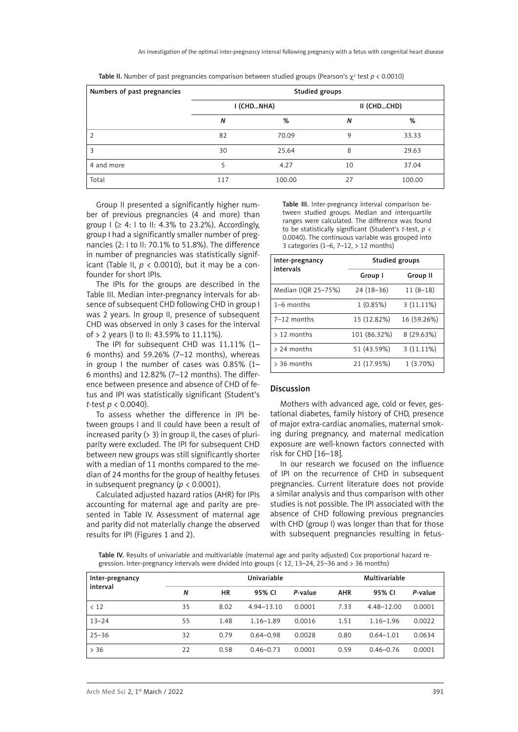| Numbers of past pregnancies | Studied groups |            |             |        |  |  |
|-----------------------------|----------------|------------|-------------|--------|--|--|
|                             |                | I (CHDNHA) | II (CHDCHD) |        |  |  |
|                             | N              | %          | N           | %      |  |  |
|                             | 82             | 70.09      | 9           | 33.33  |  |  |
| 3                           | 30             | 25.64      | 8           | 29.63  |  |  |
| 4 and more                  |                | 4.27       | 10          | 37.04  |  |  |
| Total                       | 117            | 100.00     | 27          | 100.00 |  |  |

**Table II.** Number of past pregnancies comparison between studied groups (Pearson's  $\chi^2$  test  $p < 0.0010$ )

Group II presented a significantly higher number of previous pregnancies (4 and more) than group  $I \geq 4$ : I to II: 4.3% to 23.2%). Accordingly, group I had a significantly smaller number of pregnancies (2: I to II: 70.1% to 51.8%). The difference in number of pregnancies was statistically significant (Table II,  $p < 0.0010$ ), but it may be a confounder for short IPIs.

The IPIs for the groups are described in the Table III. Median inter-pregnancy intervals for absence of subsequent CHD following CHD in group I was 2 years. In group II, presence of subsequent CHD was observed in only 3 cases for the interval of > 2 years (I to II: 43.59% to 11.11%).

The IPI for subsequent CHD was 11.11% (1– 6 months) and 59.26% (7–12 months), whereas in group I the number of cases was 0.85% (1– 6 months) and 12.82% (7-12 months). The difference between presence and absence of CHD of fetus and IPI was statistically significant (Student's *t*-test *p* < 0.0040).

To assess whether the difference in IPI between groups I and II could have been a result of increased parity (> 3) in group II, the cases of pluriparity were excluded. The IPI for subsequent CHD between new groups was still significantly shorter with a median of 11 months compared to the median of 24 months for the group of healthy fetuses in subsequent pregnancy ( $p < 0.0001$ ).

Calculated adjusted hazard ratios (AHR) for IPIs accounting for maternal age and parity are presented in Table IV. Assessment of maternal age and parity did not materially change the observed results for IPI (Figures 1 and 2).

Table III. Inter-pregnancy interval comparison between studied groups. Median and interquartile ranges were calculated. The difference was found to be statistically significant (Student's *t*-test, *p* < 0.0040). The continuous variable was grouped into 3 categories (1–6, 7–12, > 12 months)

| Inter-pregnancy<br>intervals | Studied groups |              |  |  |  |
|------------------------------|----------------|--------------|--|--|--|
|                              | Group I        | Group II     |  |  |  |
| Median (IQR 25-75%)          | $24(18-36)$    | $11(8-18)$   |  |  |  |
| $1-6$ months                 | 1(0.85%)       | $3(11.11\%)$ |  |  |  |
| $7-12$ months                | 15 (12.82%)    | 16 (59.26%)  |  |  |  |
| $> 12$ months                | 101 (86.32%)   | 8 (29.63%)   |  |  |  |
| $> 24$ months                | 51 (43.59%)    | $3(11.11\%)$ |  |  |  |
| $> 36$ months                | 21 (17.95%)    | $1(3.70\%)$  |  |  |  |

#### Discussion

Mothers with advanced age, cold or fever, gestational diabetes, family history of CHD, presence of major extra-cardiac anomalies, maternal smoking during pregnancy, and maternal medication exposure are well-known factors connected with risk for CHD [16–18].

In our research we focused on the influence of IPI on the recurrence of CHD in subsequent pregnancies. Current literature does not provide a similar analysis and thus comparison with other studies is not possible. The IPI associated with the absence of CHD following previous pregnancies with CHD (group I) was longer than that for those with subsequent pregnancies resulting in fetus-

Table IV. Results of univariable and multivariable (maternal age and parity adjusted) Cox proportional hazard regression. Inter-pregnancy intervals were divided into groups (< 12, 13–24, 25–36 and > 36 months)

| Inter-pregnancy |    |      | Univariable    | Multivariable |            |               |         |
|-----------------|----|------|----------------|---------------|------------|---------------|---------|
| interval        | N  | ΗR   | 95% CI         | P-value       | <b>AHR</b> | 95% CI        | P-value |
| < 12            | 35 | 8.02 | $4.94 - 13.10$ | 0.0001        | 7.33       | 4.48-12.00    | 0.0001  |
| $13 - 24$       | 55 | 1.48 | $1.16 - 1.89$  | 0.0016        | 1.51       | $1.16 - 1.96$ | 0.0022  |
| $25 - 36$       | 32 | 0.79 | $0.64 - 0.98$  | 0.0028        | 0.80       | $0.64 - 1.01$ | 0.0634  |
| > 36            | 22 | 0.58 | $0.46 - 0.73$  | 0.0001        | 0.59       | $0.46 - 0.76$ | 0.0001  |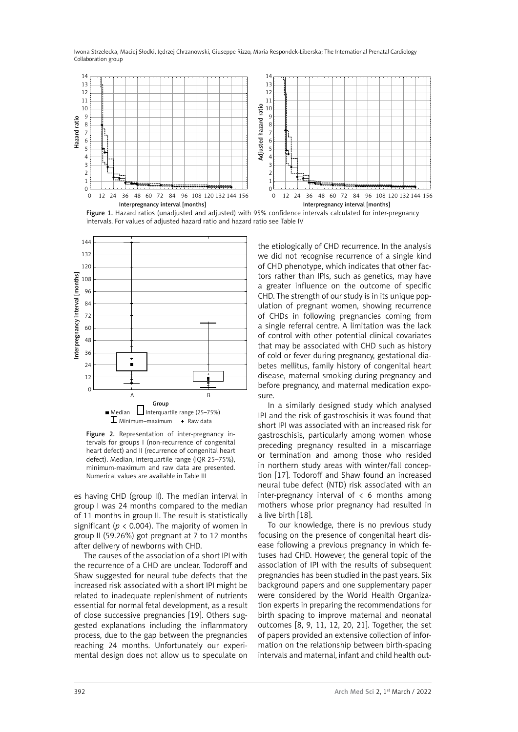Iwona Strzelecka, Maciej Słodki, Jędrzej Chrzanowski, Giuseppe Rizzo, Maria Respondek-Liberska; The International Prenatal Cardiology Collaboration group



Figure 1. Hazard ratios (unadjusted and adjusted) with 95% confidence intervals calculated for inter-pregnancy intervals. For values of adjusted hazard ratio and hazard ratio see Table IV



Figure 2. Representation of inter-pregnancy intervals for groups I (non-recurrence of congenital heart defect) and II (recurrence of congenital heart defect). Median, interquartile range (IQR 25–75%), minimum-maximum and raw data are presented. Numerical values are available in Table III

es having CHD (group II). The median interval in group I was 24 months compared to the median of 11 months in group II. The result is statistically significant ( $p < 0.004$ ). The majority of women in group II (59.26%) got pregnant at 7 to 12 months after delivery of newborns with CHD.

The causes of the association of a short IPI with the recurrence of a CHD are unclear. Todoroff and Shaw suggested for neural tube defects that the increased risk associated with a short IPI might be related to inadequate replenishment of nutrients essential for normal fetal development, as a result of close successive pregnancies [19]. Others suggested explanations including the inflammatory process, due to the gap between the pregnancies reaching 24 months. Unfortunately our experimental design does not allow us to speculate on

the etiologically of CHD recurrence. In the analysis we did not recognise recurrence of a single kind of CHD phenotype, which indicates that other factors rather than IPIs, such as genetics, may have a greater influence on the outcome of specific CHD. The strength of our study is in its unique population of pregnant women, showing recurrence of CHDs in following pregnancies coming from a single referral centre. A limitation was the lack of control with other potential clinical covariates that may be associated with CHD such as history of cold or fever during pregnancy, gestational diabetes mellitus, family history of congenital heart disease, maternal smoking during pregnancy and before pregnancy, and maternal medication exposure.

In a similarly designed study which analysed IPI and the risk of gastroschisis it was found that short IPI was associated with an increased risk for gastroschisis, particularly among women whose preceding pregnancy resulted in a miscarriage or termination and among those who resided in northern study areas with winter/fall conception [17]. Todoroff and Shaw found an increased neural tube defect (NTD) risk associated with an inter-pregnancy interval of  $\lt 6$  months among mothers whose prior pregnancy had resulted in a live birth [18].

To our knowledge, there is no previous study focusing on the presence of congenital heart disease following a previous pregnancy in which fetuses had CHD. However, the general topic of the association of IPI with the results of subsequent pregnancies has been studied in the past years. Six background papers and one supplementary paper were considered by the World Health Organization experts in preparing the recommendations for birth spacing to improve maternal and neonatal outcomes [8, 9, 11, 12, 20, 21]. Together, the set of papers provided an extensive collection of information on the relationship between birth-spacing intervals and maternal, infant and child health out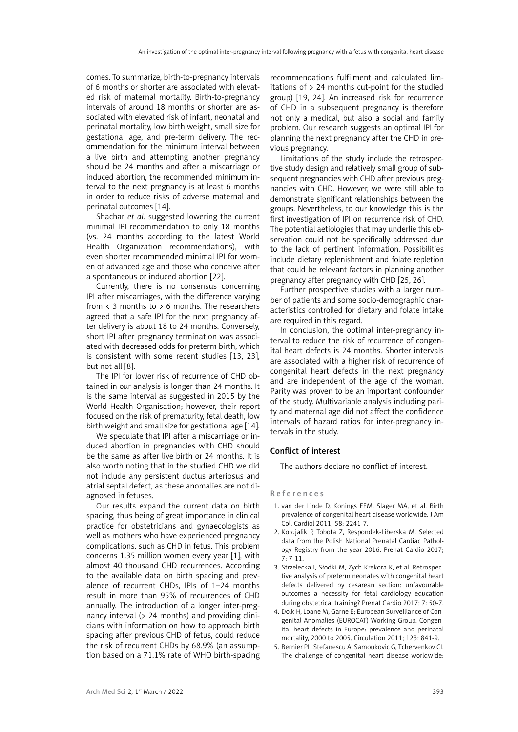comes. To summarize, birth-to-pregnancy intervals of 6 months or shorter are associated with elevated risk of maternal mortality. Birth-to-pregnancy intervals of around 18 months or shorter are associated with elevated risk of infant, neonatal and perinatal mortality, low birth weight, small size for gestational age, and pre-term delivery. The recommendation for the minimum interval between a live birth and attempting another pregnancy should be 24 months and after a miscarriage or induced abortion, the recommended minimum interval to the next pregnancy is at least 6 months in order to reduce risks of adverse maternal and perinatal outcomes [14].

Shachar *et al.* suggested lowering the current minimal IPI recommendation to only 18 months (vs. 24 months according to the latest World Health Organization recommendations), with even shorter recommended minimal IPI for women of advanced age and those who conceive after a spontaneous or induced abortion [22].

Currently, there is no consensus concerning IPI after miscarriages, with the difference varying from  $\langle$  3 months to  $> 6$  months. The researchers agreed that a safe IPI for the next pregnancy after delivery is about 18 to 24 months. Conversely, short IPI after pregnancy termination was associated with decreased odds for preterm birth, which is consistent with some recent studies [13, 23], but not all [8].

The IPI for lower risk of recurrence of CHD obtained in our analysis is longer than 24 months. It is the same interval as suggested in 2015 by the World Health Organisation; however, their report focused on the risk of prematurity, fetal death, low birth weight and small size for gestational age [14].

We speculate that IPI after a miscarriage or induced abortion in pregnancies with CHD should be the same as after live birth or 24 months. It is also worth noting that in the studied CHD we did not include any persistent ductus arteriosus and atrial septal defect, as these anomalies are not diagnosed in fetuses.

Our results expand the current data on birth spacing, thus being of great importance in clinical practice for obstetricians and gynaecologists as well as mothers who have experienced pregnancy complications, such as CHD in fetus. This problem concerns 1.35 million women every year [1], with almost 40 thousand CHD recurrences. According to the available data on birth spacing and prevalence of recurrent CHDs, IPIs of 1–24 months result in more than 95% of recurrences of CHD annually. The introduction of a longer inter-pregnancy interval (> 24 months) and providing clinicians with information on how to approach birth spacing after previous CHD of fetus, could reduce the risk of recurrent CHDs by 68.9% (an assumption based on a 71.1% rate of WHO birth-spacing recommendations fulfilment and calculated limitations of > 24 months cut-point for the studied group) [19, 24]. An increased risk for recurrence of CHD in a subsequent pregnancy is therefore not only a medical, but also a social and family problem. Our research suggests an optimal IPI for planning the next pregnancy after the CHD in previous pregnancy.

Limitations of the study include the retrospective study design and relatively small group of subsequent pregnancies with CHD after previous pregnancies with CHD. However, we were still able to demonstrate significant relationships between the groups. Nevertheless, to our knowledge this is the first investigation of IPI on recurrence risk of CHD. The potential aetiologies that may underlie this observation could not be specifically addressed due to the lack of pertinent information. Possibilities include dietary replenishment and folate repletion that could be relevant factors in planning another pregnancy after pregnancy with CHD [25, 26].

Further prospective studies with a larger number of patients and some socio-demographic characteristics controlled for dietary and folate intake are required in this regard.

In conclusion, the optimal inter-pregnancy interval to reduce the risk of recurrence of congenital heart defects is 24 months. Shorter intervals are associated with a higher risk of recurrence of congenital heart defects in the next pregnancy and are independent of the age of the woman. Parity was proven to be an important confounder of the study. Multivariable analysis including parity and maternal age did not affect the confidence intervals of hazard ratios for inter-pregnancy intervals in the study.

# Conflict of interest

The authors declare no conflict of interest.

#### References

- 1. van der Linde D, Konings EEM, Slager MA, et al. Birth prevalence of congenital heart disease worldwide. J Am Coll Cardiol 2011; 58: 2241-7.
- 2. Kordjalik P, Tobota Z, Respondek-Liberska M. Selected data from the Polish National Prenatal Cardiac Pathology Registry from the year 2016. Prenat Cardio 2017; 7: 7-11.
- 3. Strzelecka I, Słodki M, Zych-Krekora K, et al. Retrospective analysis of preterm neonates with congenital heart defects delivered by cesarean section: unfavourable outcomes a necessity for fetal cardiology education during obstetrical training? Prenat Cardio 2017; 7: 50-7.
- 4. Dolk H, Loane M, Garne E; European Surveillance of Congenital Anomalies (EUROCAT) Working Group. Congenital heart defects in Europe: prevalence and perinatal mortality, 2000 to 2005. Circulation 2011; 123: 841-9.
- 5. Bernier PL, Stefanescu A, Samoukovic G, Tchervenkov CI. The challenge of congenital heart disease worldwide: